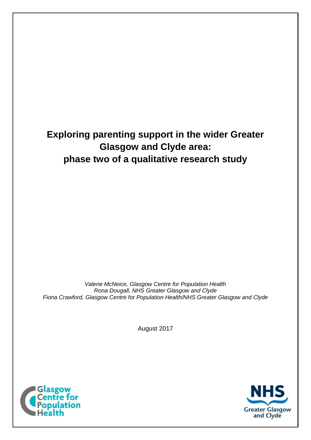# **Exploring parenting support in the wider Greater Glasgow and Clyde area: phase two of a qualitative research study**

*Valerie McNeice, Glasgow Centre for Population Health Rona Dougall, NHS Greater Glasgow and Clyde Fiona Crawford, Glasgow Centre for Population Health/NHS Greater Glasgow and Clyde*

August 2017



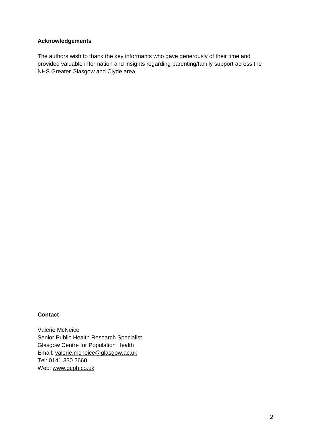#### **Acknowledgements**

The authors wish to thank the key informants who gave generously of their time and provided valuable information and insights regarding parenting/family support across the NHS Greater Glasgow and Clyde area.

#### **Contact**

Valerie McNeice Senior Public Health Research Specialist Glasgow Centre for Population Health Email: [valerie.mcneice@glasgow.ac.uk](mailto:valerie.mcneice@glasgow.ac.uk) Tel: 0141 330 2660 Web: [www.gcph.co.uk](http://www.gcph.co.uk/)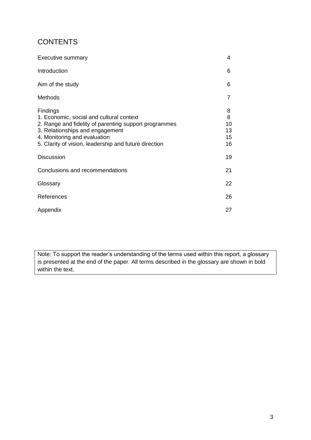# **CONTENTS**

| <b>Executive summary</b>                                                                                                                                                                                                                  | 4                              |
|-------------------------------------------------------------------------------------------------------------------------------------------------------------------------------------------------------------------------------------------|--------------------------------|
| Introduction                                                                                                                                                                                                                              | 6                              |
| Aim of the study                                                                                                                                                                                                                          | 6                              |
| <b>Methods</b>                                                                                                                                                                                                                            | 7                              |
| Findings<br>1. Economic, social and cultural context<br>2. Range and fidelity of parenting support programmes<br>3. Relationships and engagement<br>4. Monitoring and evaluation<br>5. Clarity of vision, leadership and future direction | 8<br>8<br>10<br>13<br>15<br>16 |
| <b>Discussion</b>                                                                                                                                                                                                                         | 19                             |
| Conclusions and recommendations                                                                                                                                                                                                           | 21                             |
| Glossary                                                                                                                                                                                                                                  | 22                             |
| References                                                                                                                                                                                                                                | 26                             |
| Appendix                                                                                                                                                                                                                                  | 27                             |

Note: To support the reader's understanding of the terms used within this report, a glossary is presented at the end of the paper. All terms described in the glossary are shown in bold within the text.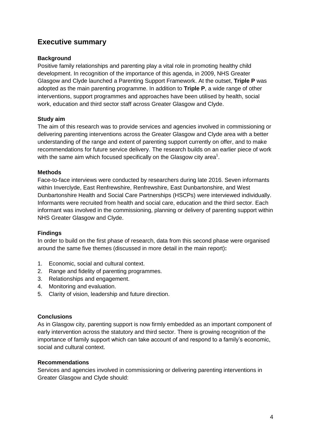## **Executive summary**

#### **Background**

Positive family relationships and parenting play a vital role in promoting healthy child development. In recognition of the importance of this agenda, in 2009, NHS Greater Glasgow and Clyde launched a Parenting Support Framework. At the outset, **Triple P** was adopted as the main parenting programme. In addition to **Triple P**, a wide range of other interventions, support programmes and approaches have been utilised by health, social work, education and third sector staff across Greater Glasgow and Clyde.

#### **Study aim**

The aim of this research was to provide services and agencies involved in commissioning or delivering parenting interventions across the Greater Glasgow and Clyde area with a better understanding of the range and extent of parenting support currently on offer, and to make recommendations for future service delivery. The research builds on an earlier piece of work with the same aim which focused specifically on the Glasgow city area<sup>1</sup>.

#### **Methods**

Face-to-face interviews were conducted by researchers during late 2016. Seven informants within Inverclyde, East Renfrewshire, Renfrewshire, East Dunbartonshire, and West Dunbartonshire Health and Social Care Partnerships (HSCPs) were interviewed individually. Informants were recruited from health and social care, education and the third sector. Each informant was involved in the commissioning, planning or delivery of parenting support within NHS Greater Glasgow and Clyde.

#### **Findings**

In order to build on the first phase of research, data from this second phase were organised around the same five themes (discussed in more detail in the main report)**:**

- 1. Economic, social and cultural context.
- 2. Range and fidelity of parenting programmes.
- 3. Relationships and engagement.
- 4. Monitoring and evaluation.
- 5. Clarity of vision, leadership and future direction.

#### **Conclusions**

As in Glasgow city, parenting support is now firmly embedded as an important component of early intervention across the statutory and third sector. There is growing recognition of the importance of family support which can take account of and respond to a family's economic, social and cultural context.

#### **Recommendations**

Services and agencies involved in commissioning or delivering parenting interventions in Greater Glasgow and Clyde should: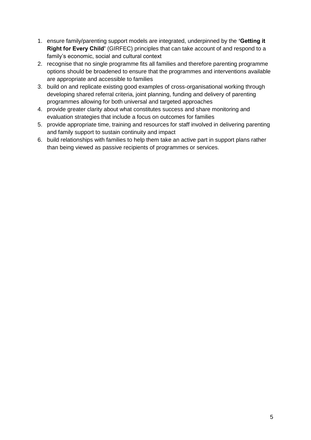- 1. ensure family/parenting support models are integrated, underpinned by the **'Getting it Right for Every Child'** (GIRFEC) principles that can take account of and respond to a family's economic, social and cultural context
- 2. recognise that no single programme fits all families and therefore parenting programme options should be broadened to ensure that the programmes and interventions available are appropriate and accessible to families
- 3. build on and replicate existing good examples of cross-organisational working through developing shared referral criteria, joint planning, funding and delivery of parenting programmes allowing for both universal and targeted approaches
- 4. provide greater clarity about what constitutes success and share monitoring and evaluation strategies that include a focus on outcomes for families
- 5. provide appropriate time, training and resources for staff involved in delivering parenting and family support to sustain continuity and impact
- 6. build relationships with families to help them take an active part in support plans rather than being viewed as passive recipients of programmes or services.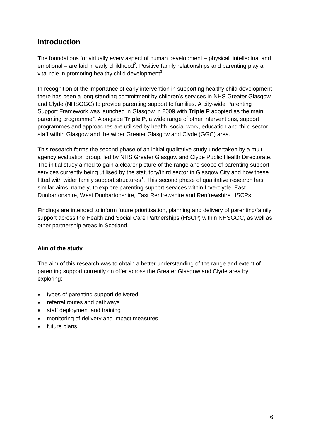### **Introduction**

The foundations for virtually every aspect of human development – physical, intellectual and emotional – are laid in early childhood<sup>2</sup>. Positive family relationships and parenting play a vital role in promoting healthy child development<sup>3</sup>.

In recognition of the importance of early intervention in supporting healthy child development there has been a long-standing commitment by children's services in NHS Greater Glasgow and Clyde (NHSGGC) to provide parenting support to families. A city-wide Parenting Support Framework was launched in Glasgow in 2009 with **Triple P** adopted as the main parenting programme<sup>4</sup>. Alongside Triple P, a wide range of other interventions, support programmes and approaches are utilised by health, social work, education and third sector staff within Glasgow and the wider Greater Glasgow and Clyde (GGC) area.

This research forms the second phase of an initial qualitative study undertaken by a multiagency evaluation group, led by NHS Greater Glasgow and Clyde Public Health Directorate. The initial study aimed to gain a clearer picture of the range and scope of parenting support services currently being utilised by the statutory/third sector in Glasgow City and how these fitted with wider family support structures<sup>1</sup>. This second phase of qualitative research has similar aims, namely, to explore parenting support services within Inverclyde, East Dunbartonshire, West Dunbartonshire, East Renfrewshire and Renfrewshire HSCPs.

Findings are intended to inform future prioritisation, planning and delivery of parenting/family support across the Health and Social Care Partnerships (HSCP) within NHSGGC, as well as other partnership areas in Scotland.

#### **Aim of the study**

The aim of this research was to obtain a better understanding of the range and extent of parenting support currently on offer across the Greater Glasgow and Clyde area by exploring:

- types of parenting support delivered
- referral routes and pathways
- staff deployment and training
- monitoring of delivery and impact measures
- future plans.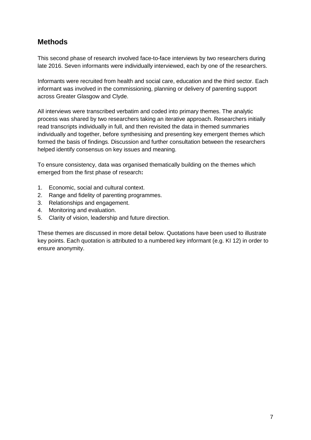# **Methods**

This second phase of research involved face-to-face interviews by two researchers during late 2016. Seven informants were individually interviewed, each by one of the researchers.

Informants were recruited from health and social care, education and the third sector. Each informant was involved in the commissioning, planning or delivery of parenting support across Greater Glasgow and Clyde.

All interviews were transcribed verbatim and coded into primary themes. The analytic process was shared by two researchers taking an iterative approach. Researchers initially read transcripts individually in full, and then revisited the data in themed summaries individually and together, before synthesising and presenting key emergent themes which formed the basis of findings. Discussion and further consultation between the researchers helped identify consensus on key issues and meaning.

To ensure consistency, data was organised thematically building on the themes which emerged from the first phase of research**:**

- 1. Economic, social and cultural context.
- 2. Range and fidelity of parenting programmes.
- 3. Relationships and engagement.
- 4. Monitoring and evaluation.
- 5. Clarity of vision, leadership and future direction.

These themes are discussed in more detail below. Quotations have been used to illustrate key points. Each quotation is attributed to a numbered key informant (e.g. KI 12) in order to ensure anonymity.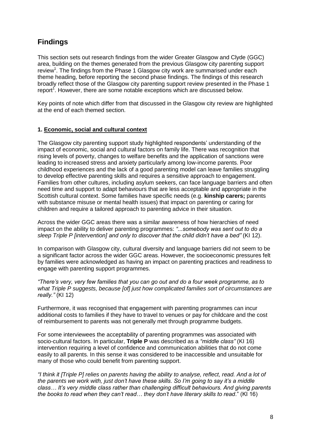# **Findings**

This section sets out research findings from the wider Greater Glasgow and Clyde (GGC) area, building on the themes generated from the previous Glasgow city parenting support review<sup>1</sup>. The findings from the Phase 1 Glasgow city work are summarised under each theme heading, before reporting the second phase findings. The findings of this research broadly reflect those of the Glasgow city parenting support review presented in the Phase 1 report<sup>1</sup>. However, there are some notable exceptions which are discussed below.

Key points of note which differ from that discussed in the Glasgow city review are highlighted at the end of each themed section.

#### **1. Economic, social and cultural context**

The Glasgow city parenting support study highlighted respondents' understanding of the impact of economic, social and cultural factors on family life. There was recognition that rising levels of poverty, changes to welfare benefits and the application of sanctions were leading to increased stress and anxiety particularly among low-income parents. Poor childhood experiences and the lack of a good parenting model can leave families struggling to develop effective parenting skills and requires a sensitive approach to engagement. Families from other cultures, including asylum seekers, can face language barriers and often need time and support to adapt behaviours that are less acceptable and appropriate in the Scottish cultural context. Some families have specific needs (e.g. **kinship carers;** parents with substance misuse or mental health issues) that impact on parenting or caring for children and require a tailored approach to parenting advice in their situation.

Across the wider GGC areas there was a similar awareness of how hierarchies of need impact on the ability to deliver parenting programmes: *"...somebody was sent out to do a sleep Triple P [intervention] and only to discover that the child didn't have a bed"* (KI 12).

In comparison with Glasgow city, cultural diversity and language barriers did not seem to be a significant factor across the wider GGC areas. However, the socioeconomic pressures felt by families were acknowledged as having an impact on parenting practices and readiness to engage with parenting support programmes.

*"There's very, very few families that you can go out and do a four week programme, as to what Triple P suggests, because [of] just how complicated families sort of circumstances are really."* (KI 12)

Furthermore, it was recognised that engagement with parenting programmes can incur additional costs to families if they have to travel to venues or pay for childcare and the cost of reimbursement to parents was not generally met through programme budgets.

For some interviewees the acceptability of parenting programmes was associated with socio-cultural factors. In particular, **Triple P** was described as a *"middle class"* (KI 16) intervention requiring a level of confidence and communication abilities that do not come easily to all parents. In this sense it was considered to be inaccessible and unsuitable for many of those who could benefit from parenting support.

*"I think it [Triple P] relies on parents having the ability to analyse, reflect, read. And a lot of the parents we work with, just don't have these skills. So I'm going to say it's a middle class… It's very middle class rather than challenging difficult behaviours. And giving parents the books to read when they can't read… they don't have literary skills to read*." (KI 16)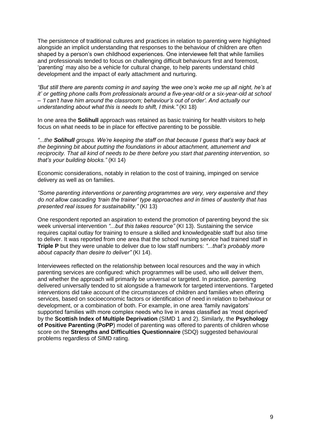The persistence of traditional cultures and practices in relation to parenting were highlighted alongside an implicit understanding that responses to the behaviour of children are often shaped by a person's own childhood experiences. One interviewee felt that while families and professionals tended to focus on challenging difficult behaviours first and foremost, 'parenting' may also be a vehicle for cultural change, to help parents understand child development and the impact of early attachment and nurturing.

*"But still there are parents coming in and saying 'the wee one's woke me up all night, he's at it' or getting phone calls from professionals around a five-year-old or a six-year-old at school – 'I can't have him around the classroom; behaviour's out of order'. And actually our understanding about what this is needs to shift, I think."* (KI 18)

In one area the **Solihull** approach was retained as basic training for health visitors to help focus on what needs to be in place for effective parenting to be possible.

*"...the Solihull groups. We're keeping the staff on that because I guess that's way back at the beginning bit about putting the foundations in about attachment, attunement and reciprocity. That all kind of needs to be there before you start that parenting intervention, so that's your building blocks."* (KI 14)

Economic considerations, notably in relation to the cost of training, impinged on service delivery as well as on families.

*"Some parenting interventions or parenting programmes are very, very expensive and they do not allow cascading 'train the trainer' type approaches and in times of austerity that has presented real issues for sustainability."* (KI 13)

One respondent reported an aspiration to extend the promotion of parenting beyond the six week universal intervention *"...but this takes resource"* (KI 13). Sustaining the service requires capital outlay for training to ensure a skilled and knowledgeable staff but also time to deliver. It was reported from one area that the school nursing service had trained staff in **Triple P** but they were unable to deliver due to low staff numbers: *"...that's probably more about capacity than desire to deliver"* (KI 14).

Interviewees reflected on the relationship between local resources and the way in which parenting services are configured: which programmes will be used, who will deliver them, and whether the approach will primarily be universal or targeted. In practice, parenting delivered universally tended to sit alongside a framework for targeted interventions. Targeted interventions did take account of the circumstances of children and families when offering services, based on socioeconomic factors or identification of need in relation to behaviour or development, or a combination of both. For example, in one area 'family navigators' supported families with more complex needs who live in areas classified as 'most deprived' by the **Scottish Index of Multiple Deprivation** (SIMD 1 and 2). Similarly, the **Psychology of Positive Parenting** (**PoPP**) model of parenting was offered to parents of children whose score on the **Strengths and Difficulties Questionnaire** (SDQ) suggested behavioural problems regardless of SIMD rating.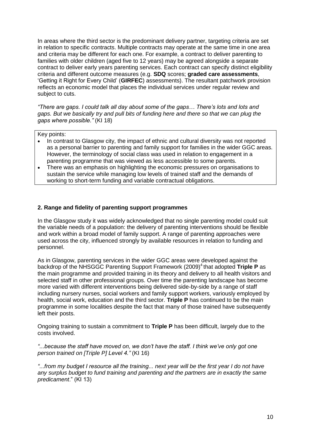In areas where the third sector is the predominant delivery partner, targeting criteria are set in relation to specific contracts. Multiple contracts may operate at the same time in one area and criteria may be different for each one. For example, a contract to deliver parenting to families with older children (aged five to 12 years) may be agreed alongside a separate contract to deliver early years parenting services. Each contract can specify distinct eligibility criteria and different outcome measures (e.g. **SDQ** scores; **graded care assessments**, 'Getting it Right for Every Child' (**GIRFEC**) assessments). The resultant patchwork provision reflects an economic model that places the individual services under regular review and subject to cuts.

*"There are gaps. I could talk all day about some of the gaps… There's lots and lots and gaps. But we basically try and pull bits of funding here and there so that we can plug the gaps where possible."* (KI 18)

Key points:

- In contrast to Glasgow city, the impact of ethnic and cultural diversity was not reported as a personal barrier to parenting and family support for families in the wider GGC areas. However, the terminology of social class was used in relation to engagement in a parenting programme that was viewed as less accessible to some parents.
- There was an emphasis on highlighting the economic pressures on organisations to sustain the service while managing low levels of trained staff and the demands of working to short-term funding and variable contractual obligations.

#### **2. Range and fidelity of parenting support programmes**

In the Glasgow study it was widely acknowledged that no single parenting model could suit the variable needs of a population: the delivery of parenting interventions should be flexible and work within a broad model of family support. A range of parenting approaches were used across the city, influenced strongly by available resources in relation to funding and personnel.

As in Glasgow, parenting services in the wider GGC areas were developed against the backdrop of the NHSGGC Parenting Support Framework (2009)<sup>4</sup> that adopted Triple P as the main programme and provided training in its theory and delivery to all health visitors and selected staff in other professional groups. Over time the parenting landscape has become more varied with different interventions being delivered side-by-side by a range of staff including nursery nurses, social workers and family support workers, variously employed by health, social work, education and the third sector. **Triple P** has continued to be the main programme in some localities despite the fact that many of those trained have subsequently left their posts.

Ongoing training to sustain a commitment to **Triple P** has been difficult, largely due to the costs involved.

*"...because the staff have moved on, we don't have the staff. I think we've only got one person trained on [Triple P] Level 4."* (KI 16)

*"...from my budget I resource all the training... next year will be the first year I do not have any surplus budget to fund training and parenting and the partners are in exactly the same predicament*." (KI 13)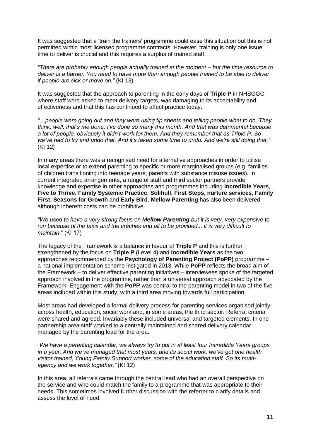It was suggested that a 'train the trainers' programme could ease this situation but this is not permitted within most licensed programme contracts. However, training is only one issue; time to deliver is crucial and this requires a surplus of trained staff.

*"There are probably enough people actually trained at the moment – but the time resource to deliver is a barrier. You need to have more than enough people trained to be able to deliver if people are sick or move on."* (KI 13)

It was suggested that the approach to parenting in the early days of **Triple P** in NHSGGC where staff were asked to meet delivery targets, was damaging to its acceptability and effectiveness and that this has continued to affect practice today.

*"…people were going out and they were using tip sheets and telling people what to do. They think, well, that's me done, I've done so many this month. And that was detrimental because a lot of people, obviously it didn't work for them. And they remember that as Triple P. So we've had to try and undo that. And it's taken some time to undo. And we're still doing that."* (KI 12)

In many areas there was a recognised need for alternative approaches in order to utilise local expertise or to extend parenting to specific or more marginalised groups (e.g. families of children transitioning into teenage years; parents with substance misuse issues). In current integrated arrangements, a range of staff and third sector partners provide knowledge and expertise in other approaches and programmes including **Incredible Years**, **Five to Thrive**, **Family Systemic Practice**, **Solihull**, **First Steps**, **nurture services**, **Family First**, **Seasons for Growth** and **Early Bird**. **Mellow Parenting** has also been delivered although inherent costs can be prohibitive.

*"We used to have a very strong focus on Mellow Parenting but it is very, very expensive to run because of the taxis and the crèches and all to be provided... it is very difficult to maintain*." (KI 17)

The legacy of the Framework is a balance in favour of **Triple P** and this is further strengthened by the focus on **Triple P** (Level 4) and **Incredible Years** as the two approaches recommended by the **Psychology of Parenting Project (PoPP)** programme – a national implementation scheme instigated in 2013. While **PoPP** reflects the broad aim of the Framework – to deliver effective parenting initiatives – interviewees spoke of the targeted approach involved in the programme, rather than a universal approach advocated by the Framework. Engagement with the **PoPP** was central to the parenting model in two of the five areas included within this study, with a third area moving towards full participation.

Most areas had developed a formal delivery process for parenting services organised jointly across health, education, social work and, in some areas, the third sector. Referral criteria were shared and agreed. Invariably these included universal and targeted elements. In one partnership area staff worked to a centrally maintained and shared delivery calendar managed by the parenting lead for the area.

"*We have a parenting calendar, we always try to put in at least four Incredible Years groups in a year. And we've managed that most years, and its social work, we've got one health visitor trained, Young Family Support worker, some of the education staff. So its multiagency and we work together."* (KI 12)

In this area, all referrals came through the central lead who had an overall perspective on the service and who could match the family to a programme that was appropriate to their needs. This sometimes involved further discussion with the referrer to clarify details and assess the level of need.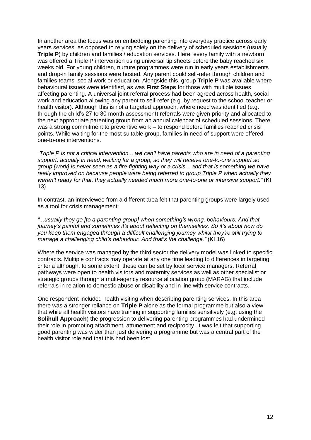In another area the focus was on embedding parenting into everyday practice across early years services, as opposed to relying solely on the delivery of scheduled sessions (usually **Triple P**) by children and families / education services. Here, every family with a newborn was offered a Triple P intervention using universal tip sheets before the baby reached six weeks old. For young children, nurture programmes were run in early years establishments and drop-in family sessions were hosted. Any parent could self-refer through children and families teams, social work or education. Alongside this, group **Triple P** was available where behavioural issues were identified, as was **First Steps** for those with multiple issues affecting parenting. A universal joint referral process had been agreed across health, social work and education allowing any parent to self-refer (e.g. by request to the school teacher or health visitor). Although this is not a targeted approach, where need was identified (e.g. through the child's 27 to 30 month assessment) referrals were given priority and allocated to the next appropriate parenting group from an annual calendar of scheduled sessions. There was a strong commitment to preventive work – to respond before families reached crisis points. While waiting for the most suitable group, families in need of support were offered one-to-one interventions.

"*Triple P is not a critical intervention... we can't have parents who are in need of a parenting support, actually in need, waiting for a group, so they will receive one-to-one support so group [work] is never seen as a fire-fighting way or a crisis... and that is something we have really improved on because people were being referred to group Triple P when actually they weren't ready for that, they actually needed much more one-to-one or intensive support."* (KI 13)

In contrast, an interviewee from a different area felt that parenting groups were largely used as a tool for crisis management:

*"...usually they go [to a parenting group] when something's wrong, behaviours. And that journey's painful and sometimes it's about reflecting on themselves. So it's about how do you keep them engaged through a difficult challenging journey whilst they're still trying to manage a challenging child's behaviour. And that's the challenge."* (KI 16)

Where the service was managed by the third sector the delivery model was linked to specific contracts. Multiple contracts may operate at any one time leading to differences in targeting criteria although, to some extent, these can be set by local service managers. Referral pathways were open to health visitors and maternity services as well as other specialist or strategic groups through a multi-agency resource allocation group (MARAG) that include referrals in relation to domestic abuse or disability and in line with service contracts.

One respondent included health visiting when describing parenting services. In this area there was a stronger reliance on **Triple P** alone as the formal programme but also a view that while all health visitors have training in supporting families sensitively (e.g. using the **Solihull Approach**) the progression to delivering parenting programmes had undermined their role in promoting attachment, attunement and reciprocity. It was felt that supporting good parenting was wider than just delivering a programme but was a central part of the health visitor role and that this had been lost.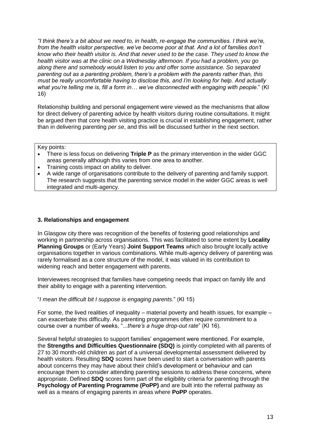*"I think there's a bit about we need to, in health, re-engage the communities. I think we're, from the health visitor perspective, we've become poor at that. And a lot of families don't know who their health visitor is. And that never used to be the case. They used to know the health visitor was at the clinic on a Wednesday afternoon. If you had a problem, you go along there and somebody would listen to you and offer some assistance. So separated parenting out as a parenting problem, there's a problem with the parents rather than, this must be really uncomfortable having to disclose this, and I'm looking for help. And actually what you're telling me is, fill a form in… we've disconnected with engaging with people.*" (KI 16)

Relationship building and personal engagement were viewed as the mechanisms that allow for direct delivery of parenting advice by health visitors during routine consultations. It might be argued then that core health visiting practice is crucial in establishing engagement, rather than in delivering parenting *per se*, and this will be discussed further in the next section.

Key points:

- There is less focus on delivering **Triple P** as the primary intervention in the wider GGC areas generally although this varies from one area to another.
- Training costs impact on ability to deliver.
- A wide range of organisations contribute to the delivery of parenting and family support. The research suggests that the parenting service model in the wider GGC areas is well integrated and multi-agency.

#### **3. Relationships and engagement**

In Glasgow city there was recognition of the benefits of fostering good relationships and working in partnership across organisations. This was facilitated to some extent by **Locality Planning Groups** or (Early Years) **Joint Support Teams** which also brought locally active organisations together in various combinations. While multi-agency delivery of parenting was rarely formalised as a core structure of the model, it was valued in its contribution to widening reach and better engagement with parents.

Interviewees recognised that families have competing needs that impact on family life and their ability to engage with a parenting intervention.

"*I mean the difficult bit I suppose is engaging parents.*" (KI 15)

For some, the lived realities of inequality – material poverty and health issues, for example – can exacerbate this difficulty. As parenting programmes often require commitment to a course over a number of weeks, "...*there's a huge drop-out rate*" (KI 16).

Several helpful strategies to support families' engagement were mentioned. For example, the **Strengths and Difficulties Questionnaire (SDQ)** is jointly completed with all parents of 27 to 30 month-old children as part of a universal developmental assessment delivered by health visitors. Resulting **SDQ** scores have been used to start a conversation with parents about concerns they may have about their child's development or behaviour and can encourage them to consider attending parenting sessions to address these concerns, where appropriate. Defined **SDQ** scores form part of the eligibility criteria for parenting through the **Psychology of Parenting Programme (PoPP)** and are built into the referral pathway as well as a means of engaging parents in areas where **PoPP** operates.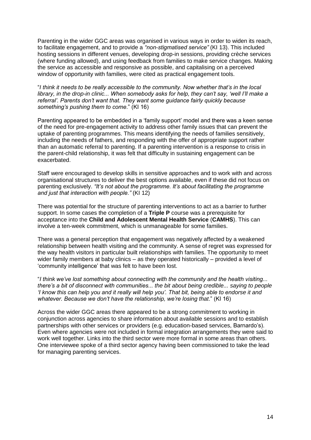Parenting in the wider GGC areas was organised in various ways in order to widen its reach, to facilitate engagement, and to provide a *"non-stigmatised service"* (KI 13). This included hosting sessions in different venues, developing drop-in sessions, providing crèche services (where funding allowed), and using feedback from families to make service changes. Making the service as accessible and responsive as possible, and capitalising on a perceived window of opportunity with families, were cited as practical engagement tools.

"*I think it needs to be really accessible to the community. Now whether that's in the local library, in the drop-in clinic... When somebody asks for help, they can't say, 'well I'll make a referral'. Parents don't want that. They want some guidance fairly quickly because something's pushing them to come*." (KI 16)

Parenting appeared to be embedded in a 'family support' model and there was a keen sense of the need for pre-engagement activity to address other family issues that can prevent the uptake of parenting programmes. This means identifying the needs of families sensitively, including the needs of fathers, and responding with the offer of appropriate support rather than an automatic referral to parenting. If a parenting intervention is a response to crisis in the parent-child relationship, it was felt that difficulty in sustaining engagement can be exacerbated.

Staff were encouraged to develop skills in sensitive approaches and to work with and across organisational structures to deliver the best options available, even if these did not focus on parenting exclusively. *"It's not about the programme. It's about facilitating the programme and just that interaction with people."* (KI 12)

There was potential for the structure of parenting interventions to act as a barrier to further support. In some cases the completion of a **Triple P** course was a prerequisite for acceptance into the **Child and Adolescent Mental Health Service** (**CAMHS**). This can involve a ten-week commitment, which is unmanageable for some families.

There was a general perception that engagement was negatively affected by a weakened relationship between health visiting and the community. A sense of regret was expressed for the way health visitors in particular built relationships with families. The opportunity to meet wider family members at baby clinics – as they operated historically – provided a level of 'community intelligence' that was felt to have been lost.

"*I think we've lost something about connecting with the community and the health visiting... there's a bit of disconnect with communities... the bit about being credible... saying to people 'I know this can help you and it really will help you'. That bit, being able to endorse it and whatever. Because we don't have the relationship, we're losing that*." (KI 16)

Across the wider GGC areas there appeared to be a strong commitment to working in conjunction across agencies to share information about available sessions and to establish partnerships with other services or providers (e.g. education-based services, Barnardo's). Even where agencies were not included in formal integration arrangements they were said to work well together. Links into the third sector were more formal in some areas than others. One interviewee spoke of a third sector agency having been commissioned to take the lead for managing parenting services.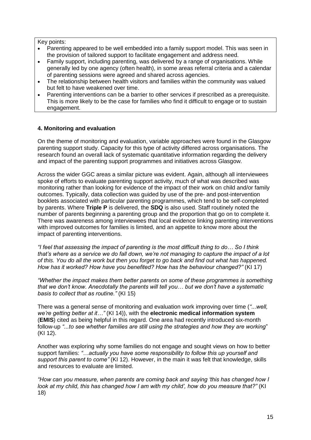Key points:

- Parenting appeared to be well embedded into a family support model. This was seen in the provision of tailored support to facilitate engagement and address need.
- Family support, including parenting, was delivered by a range of organisations. While generally led by one agency (often health), in some areas referral criteria and a calendar of parenting sessions were agreed and shared across agencies.
- The relationship between health visitors and families within the community was valued but felt to have weakened over time.
- Parenting interventions can be a barrier to other services if prescribed as a prerequisite. This is more likely to be the case for families who find it difficult to engage or to sustain engagement.

#### **4. Monitoring and evaluation**

On the theme of monitoring and evaluation, variable approaches were found in the Glasgow parenting support study. Capacity for this type of activity differed across organisations. The research found an overall lack of systematic quantitative information regarding the delivery and impact of the parenting support programmes and initiatives across Glasgow.

Across the wider GGC areas a similar picture was evident. Again, although all interviewees spoke of efforts to evaluate parenting support activity, much of what was described was monitoring rather than looking for evidence of the impact of their work on child and/or family outcomes. Typically, data collection was guided by use of the pre- and post-intervention booklets associated with particular parenting programmes, which tend to be self-completed by parents. Where **Triple P** is delivered, the **SDQ** is also used. Staff routinely noted the number of parents beginning a parenting group and the proportion that go on to complete it. There was awareness among interviewees that local evidence linking parenting interventions with improved outcomes for families is limited, and an appetite to know more about the impact of parenting interventions.

*"I feel that assessing the impact of parenting is the most difficult thing to do… So I think that's where as a service we do fall down, we're not managing to capture the impact of a lot of this. You do all the work but then you forget to go back and find out what has happened. How has it worked? How have you benefited? How has the behaviour changed?"* (KI 17)

*"Whether the impact makes them better parents on some of these programmes is something that we don't know. Anecdotally the parents will tell you… but we don't have a systematic basis to collect that as routine."* (KI 15)

There was a general sense of monitoring and evaluation work improving over time (*"...well, we're getting better at it…"* (KI 14)), with the **electronic medical information system** (**EMIS**) cited as being helpful in this regard. One area had recently introduced six-month follow-up *"...to see whether families are still using the strategies and how they are working*" (KI 12).

Another was exploring why some families do not engage and sought views on how to better support families: *"…actually you have some responsibility to follow this up yourself and support this parent to come"* (KI 12). However, in the main it was felt that knowledge, skills and resources to evaluate are limited.

*"How can you measure, when parents are coming back and saying 'this has changed how I look at my child, this has changed how I am with my child', how do you measure that?"* (KI 18)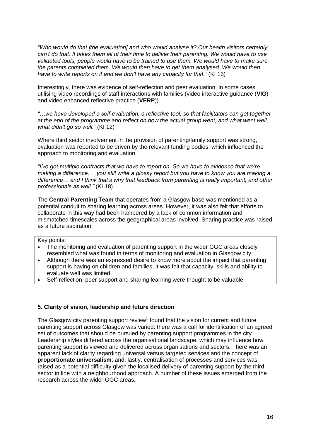*"Who would do that [the evaluation] and who would analyse it? Our health visitors certainly can't do that. It takes them all of their time to deliver their parenting. We would have to use validated tools, people would have to be trained to use them. We would have to make sure the parents completed them. We would then have to get them analysed. We would then have to write reports on it and we don't have any capacity for that."* (KI 15)

Interestingly, there was evidence of self-reflection and peer evaluation, in some cases utilising video recordings of staff interactions with families (video interactive guidance (**VIG**) and video enhanced reflective practice (**VERP**)).

*"…we have developed a self-evaluation, a reflective tool, so that facilitators can get together at the end of the programme and reflect on how the actual group went, and what went well, what didn't go so well."* (KI 12)

Where third sector involvement in the provision of parenting/family support was strong, evaluation was reported to be driven by the relevant funding bodies, which influenced the approach to monitoring and evaluation.

*"I've got multiple contracts that we have to report on. So we have to evidence that we're making a difference. …you still write a glossy report but you have to know you are making a difference… and I think that's why that feedback from parenting is really important, and other professionals as well."* (KI 18)

The **Central Parenting Team** that operates from a Glasgow base was mentioned as a potential conduit to sharing learning across areas. However, it was also felt that efforts to collaborate in this way had been hampered by a lack of common information and mismatched timescales across the geographical areas involved. Sharing practice was raised as a future aspiration.

#### Key points:

- The monitoring and evaluation of parenting support in the wider GGC areas closely resembled what was found in terms of monitoring and evaluation in Glasgow city.
- Although there was an expressed desire to know more about the impact that parenting support is having on children and families, it was felt that capacity, skills and ability to evaluate well was limited.
- Self-reflection, peer support and sharing learning were thought to be valuable.

#### **5. Clarity of vision, leadership and future direction**

The Glasgow city parenting support review<sup>1</sup> found that the vision for current and future parenting support across Glasgow was varied: there was a call for identification of an agreed set of outcomes that should be pursued by parenting support programmes in the city. Leadership styles differed across the organisational landscape, which may influence how parenting support is viewed and delivered across organisations and sectors. There was an apparent lack of clarity regarding universal versus targeted services and the concept of **proportionate universalism**; and, lastly, centralisation of processes and services was raised as a potential difficulty given the localised delivery of parenting support by the third sector in line with a neighbourhood approach. A number of these issues emerged from the research across the wider GGC areas.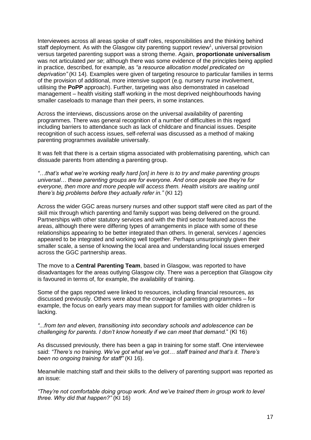Interviewees across all areas spoke of staff roles, responsibilities and the thinking behind staff deployment. As with the Glasgow city parenting support review<sup>1</sup>, universal provision versus targeted parenting support was a strong theme. Again, **proportionate universalism** was not articulated *per se*; although there was some evidence of the principles being applied in practice, described, for example, as *"a resource allocation model predicated on deprivation"* (KI 14)*.* Examples were given of targeting resource to particular families in terms of the provision of additional, more intensive support (e.g. nursery nurse involvement, utilising the **PoPP** approach). Further, targeting was also demonstrated in caseload management – health visiting staff working in the most deprived neighbourhoods having smaller caseloads to manage than their peers, in some instances.

Across the interviews, discussions arose on the universal availability of parenting programmes. There was general recognition of a number of difficulties in this regard including barriers to attendance such as lack of childcare and financial issues. Despite recognition of such access issues, self-referral was discussed as a method of making parenting programmes available universally.

It was felt that there is a certain stigma associated with problematising parenting, which can dissuade parents from attending a parenting group.

*"…that's what we're working really hard [on] in here is to try and make parenting groups universal… these parenting groups are for everyone. And once people see they're for*  everyone, then more and more people will access them. Health visitors are waiting until *there's big problems before they actually refer in."* (KI 12)

Across the wider GGC areas nursery nurses and other support staff were cited as part of the skill mix through which parenting and family support was being delivered on the ground. Partnerships with other statutory services and with the third sector featured across the areas, although there were differing types of arrangements in place with some of these relationships appearing to be better integrated than others. In general, services / agencies appeared to be integrated and working well together. Perhaps unsurprisingly given their smaller scale, a sense of knowing the local area and understanding local issues emerged across the GGC partnership areas.

The move to a **Central Parenting Team**, based in Glasgow, was reported to have disadvantages for the areas outlying Glasgow city. There was a perception that Glasgow city is favoured in terms of, for example, the availability of training.

Some of the gaps reported were linked to resources, including financial resources, as discussed previously. Others were about the coverage of parenting programmes – for example, the focus on early years may mean support for families with older children is lacking.

*"...from ten and eleven, transitioning into secondary schools and adolescence can be challenging for parents. I don't know honestly if we can meet that demand.*" (KI 16)

As discussed previously, there has been a gap in training for some staff. One interviewee said: *"There's no training. We've got what we've got… staff trained and that's it. There's been no ongoing training for staff"* (KI 16).

Meanwhile matching staff and their skills to the delivery of parenting support was reported as an issue:

*"They're not comfortable doing group work. And we've trained them in group work to level three. Why did that happen?"* (KI 16)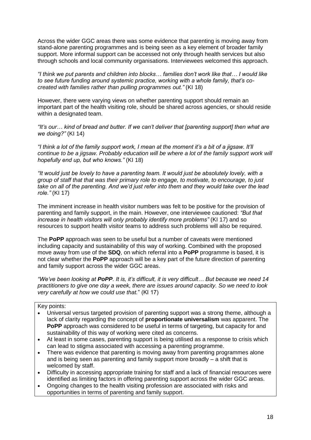Across the wider GGC areas there was some evidence that parenting is moving away from stand-alone parenting programmes and is being seen as a key element of broader family support. More informal support can be accessed not only through health services but also through schools and local community organisations. Interviewees welcomed this approach.

*"I think we put parents and children into blocks… families don't work like that… I would like to see future funding around systemic practice, working with a whole family, that's cocreated with families rather than pulling programmes out."* (KI 18)

However, there were varying views on whether parenting support should remain an important part of the health visiting role, should be shared across agencies, or should reside within a designated team.

*"It's our… kind of bread and butter. If we can't deliver that [parenting support] then what are we doing?"* (KI 14)

*"I think a lot of the family support work, I mean at the moment it's a bit of a jigsaw. It'll continue to be a jigsaw. Probably education will be where a lot of the family support work will hopefully end up, but who knows."* (KI 18)

*"It would just be lovely to have a parenting team. It would just be absolutely lovely, with a group of staff that that was their primary role to engage, to motivate, to encourage, to just take on all of the parenting. And we'd just refer into them and they would take over the lead role."* (KI 17)

The imminent increase in health visitor numbers was felt to be positive for the provision of parenting and family support, in the main. However, one interviewee cautioned: *"But that increase in health visitors will only probably identify more problems"* (KI 17) and so resources to support health visitor teams to address such problems will also be required.

The **PoPP** approach was seen to be useful but a number of caveats were mentioned including capacity and sustainability of this way of working. Combined with the proposed move away from use of the **SDQ**, on which referral into a **PoPP** programme is based, it is not clear whether the **PoPP** approach will be a key part of the future direction of parenting and family support across the wider GGC areas.

*"We've been looking at PoPP. It is, it's difficult, it is very difficult… But because we need 14 practitioners to give one day a week, there are issues around capacity. So we need to look very carefully at how we could use that.*" (KI 17)

#### Key points:

- Universal versus targeted provision of parenting support was a strong theme, although a lack of clarity regarding the concept of **proportionate universalism** was apparent. The **PoPP** approach was considered to be useful in terms of targeting, but capacity for and sustainability of this way of working were cited as concerns.
- At least in some cases, parenting support is being utilised as a response to crisis which can lead to stigma associated with accessing a parenting programme.
- There was evidence that parenting is moving away from parenting programmes alone and is being seen as parenting and family support more broadly – a shift that is welcomed by staff.
- Difficulty in accessing appropriate training for staff and a lack of financial resources were identified as limiting factors in offering parenting support across the wider GGC areas.
- Ongoing changes to the health visiting profession are associated with risks and opportunities in terms of parenting and family support.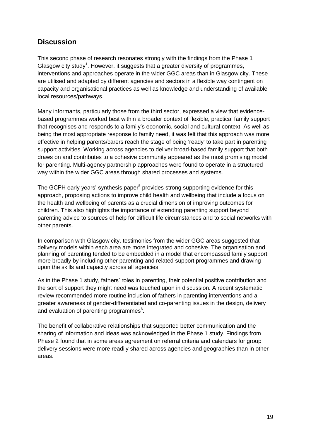## **Discussion**

This second phase of research resonates strongly with the findings from the Phase 1 Glasgow city study<sup>1</sup>. However, it suggests that a greater diversity of programmes, interventions and approaches operate in the wider GGC areas than in Glasgow city. These are utilised and adapted by different agencies and sectors in a flexible way contingent on capacity and organisational practices as well as knowledge and understanding of available local resources/pathways.

Many informants, particularly those from the third sector, expressed a view that evidencebased programmes worked best within a broader context of flexible, practical family support that recognises and responds to a family's economic, social and cultural context. As well as being the most appropriate response to family need, it was felt that this approach was more effective in helping parents/carers reach the stage of being 'ready' to take part in parenting support activities. Working across agencies to deliver broad-based family support that both draws on and contributes to a cohesive community appeared as the most promising model for parenting. Multi-agency partnership approaches were found to operate in a structured way within the wider GGC areas through shared processes and systems.

The GCPH early years' synthesis paper<sup>5</sup> provides strong supporting evidence for this approach, proposing actions to improve child health and wellbeing that include a focus on the health and wellbeing of parents as a crucial dimension of improving outcomes for children. This also highlights the importance of extending parenting support beyond parenting advice to sources of help for difficult life circumstances and to social networks with other parents.

In comparison with Glasgow city, testimonies from the wider GGC areas suggested that delivery models within each area are more integrated and cohesive. The organisation and planning of parenting tended to be embedded in a model that encompassed family support more broadly by including other parenting and related support programmes and drawing upon the skills and capacity across all agencies.

As in the Phase 1 study, fathers' roles in parenting, their potential positive contribution and the sort of support they might need was touched upon in discussion. A recent systematic review recommended more routine inclusion of fathers in parenting interventions and a greater awareness of gender-differentiated and co-parenting issues in the design, delivery and evaluation of parenting programmes<sup>6</sup>.

The benefit of collaborative relationships that supported better communication and the sharing of information and ideas was acknowledged in the Phase 1 study. Findings from Phase 2 found that in some areas agreement on referral criteria and calendars for group delivery sessions were more readily shared across agencies and geographies than in other areas.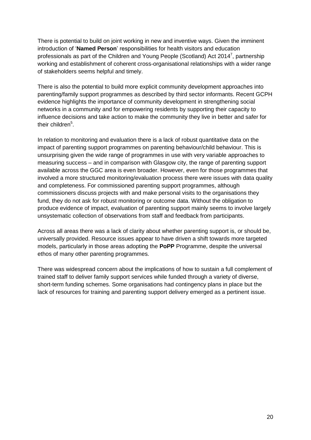There is potential to build on joint working in new and inventive ways. Given the imminent introduction of '**Named Person**' responsibilities for health visitors and education professionals as part of the Children and Young People (Scotland) Act 2014<sup>7</sup>, partnership working and establishment of coherent cross-organisational relationships with a wider range of stakeholders seems helpful and timely.

There is also the potential to build more explicit community development approaches into parenting/family support programmes as described by third sector informants. Recent GCPH evidence highlights the importance of community development in strengthening social networks in a community and for empowering residents by supporting their capacity to influence decisions and take action to make the community they live in better and safer for their children<sup>5</sup>.

In relation to monitoring and evaluation there is a lack of robust quantitative data on the impact of parenting support programmes on parenting behaviour/child behaviour. This is unsurprising given the wide range of programmes in use with very variable approaches to measuring success – and in comparison with Glasgow city, the range of parenting support available across the GGC area is even broader. However, even for those programmes that involved a more structured monitoring/evaluation process there were issues with data quality and completeness. For commissioned parenting support programmes, although commissioners discuss projects with and make personal visits to the organisations they fund, they do not ask for robust monitoring or outcome data. Without the obligation to produce evidence of impact, evaluation of parenting support mainly seems to involve largely unsystematic collection of observations from staff and feedback from participants.

Across all areas there was a lack of clarity about whether parenting support is, or should be, universally provided. Resource issues appear to have driven a shift towards more targeted models, particularly in those areas adopting the **PoPP** Programme, despite the universal ethos of many other parenting programmes.

There was widespread concern about the implications of how to sustain a full complement of trained staff to deliver family support services while funded through a variety of diverse, short-term funding schemes. Some organisations had contingency plans in place but the lack of resources for training and parenting support delivery emerged as a pertinent issue.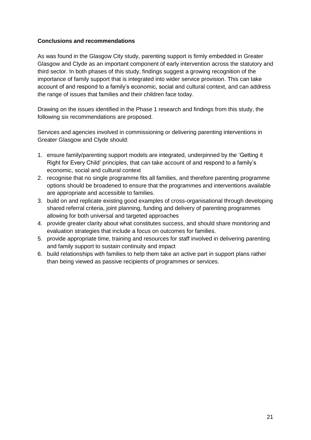#### **Conclusions and recommendations**

As was found in the Glasgow City study, parenting support is firmly embedded in Greater Glasgow and Clyde as an important component of early intervention across the statutory and third sector. In both phases of this study, findings suggest a growing recognition of the importance of family support that is integrated into wider service provision. This can take account of and respond to a family's economic, social and cultural context, and can address the range of issues that families and their children face today.

Drawing on the issues identified in the Phase 1 research and findings from this study, the following six recommendations are proposed.

Services and agencies involved in commissioning or delivering parenting interventions in Greater Glasgow and Clyde should:

- 1. ensure family/parenting support models are integrated, underpinned by the 'Getting it Right for Every Child' principles, that can take account of and respond to a family's economic, social and cultural context
- 2. recognise that no single programme fits all families, and therefore parenting programme options should be broadened to ensure that the programmes and interventions available are appropriate and accessible to families.
- 3. build on and replicate existing good examples of cross-organisational through developing shared referral criteria, joint planning, funding and delivery of parenting programmes allowing for both universal and targeted approaches
- 4. provide greater clarity about what constitutes success, and should share monitoring and evaluation strategies that include a focus on outcomes for families.
- 5. provide appropriate time, training and resources for staff involved in delivering parenting and family support to sustain continuity and impact
- 6. build relationships with families to help them take an active part in support plans rather than being viewed as passive recipients of programmes or services.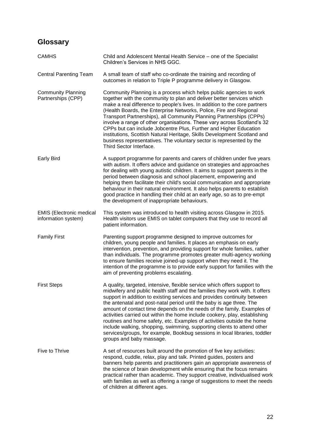# **Glossary**

| <b>CAMHS</b>                                           | Child and Adolescent Mental Health Service - one of the Specialist<br>Children's Services in NHS GGC.                                                                                                                                                                                                                                                                                                                                                                                                                                                                                                                                                                                                                               |
|--------------------------------------------------------|-------------------------------------------------------------------------------------------------------------------------------------------------------------------------------------------------------------------------------------------------------------------------------------------------------------------------------------------------------------------------------------------------------------------------------------------------------------------------------------------------------------------------------------------------------------------------------------------------------------------------------------------------------------------------------------------------------------------------------------|
| <b>Central Parenting Team</b>                          | A small team of staff who co-ordinate the training and recording of<br>outcomes in relation to Triple P programme delivery in Glasgow.                                                                                                                                                                                                                                                                                                                                                                                                                                                                                                                                                                                              |
| <b>Community Planning</b><br>Partnerships (CPP)        | Community Planning is a process which helps public agencies to work<br>together with the community to plan and deliver better services which<br>make a real difference to people's lives. In addition to the core partners<br>(Health Boards, the Enterprise Networks, Police, Fire and Regional<br>Transport Partnerships), all Community Planning Partnerships (CPPs)<br>involve a range of other organisations. These vary across Scotland's 32<br>CPPs but can include Jobcentre Plus, Further and Higher Education<br>institutions, Scottish Natural Heritage, Skills Development Scotland and<br>business representatives. The voluntary sector is represented by the<br>Third Sector Interface.                              |
| <b>Early Bird</b>                                      | A support programme for parents and carers of children under five years<br>with autism. It offers advice and guidance on strategies and approaches<br>for dealing with young autistic children. It aims to support parents in the<br>period between diagnosis and school placement, empowering and<br>helping them facilitate their child's social communication and appropriate<br>behaviour in their natural environment. It also helps parents to establish<br>good practice in handling their child at an early age, so as to pre-empt<br>the development of inappropriate behaviours.                                                                                                                                          |
| <b>EMIS (Electronic medical</b><br>information system) | This system was introduced to health visiting across Glasgow in 2015.<br>Health visitors use EMIS on tablet computers that they use to record all<br>patient information.                                                                                                                                                                                                                                                                                                                                                                                                                                                                                                                                                           |
| <b>Family First</b>                                    | Parenting support programme designed to improve outcomes for<br>children, young people and families. It places an emphasis on early<br>intervention, prevention, and providing support for whole families, rather<br>than individuals. The programme promotes greater multi-agency working<br>to ensure families receive joined-up support when they need it. The<br>intention of the programme is to provide early support for families with the<br>aim of preventing problems escalating.                                                                                                                                                                                                                                         |
| <b>First Steps</b>                                     | A quality, targeted, intensive, flexible service which offers support to<br>midwifery and public health staff and the families they work with. It offers<br>support in addition to existing services and provides continuity between<br>the antenatal and post-natal period until the baby is age three. The<br>amount of contact time depends on the needs of the family. Examples of<br>activities carried out within the home include cookery, play, establishing<br>routines and home safety, etc. Examples of activities outside the home<br>include walking, shopping, swimming, supporting clients to attend other<br>services/groups, for example, Bookbug sessions in local libraries, toddler<br>groups and baby massage. |
| Five to Thrive                                         | A set of resources built around the promotion of five key activities:<br>respond, cuddle, relax, play and talk. Printed guides, posters and<br>banners help parents and practitioners gain an appropriate awareness of<br>the science of brain development while ensuring that the focus remains<br>practical rather than academic. They support creative, individualised work<br>with families as well as offering a range of suggestions to meet the needs<br>of children at different ages.                                                                                                                                                                                                                                      |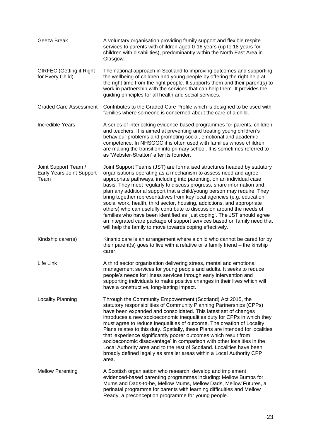| Geeza Break                                               | A voluntary organisation providing family support and flexible respite<br>services to parents with children aged 0-16 years (up to 18 years for<br>children with disabilities), predominantly within the North East Area in<br>Glasgow.                                                                                                                                                                                                                                                                                                                                                                                                                                                                                                                                                                                    |
|-----------------------------------------------------------|----------------------------------------------------------------------------------------------------------------------------------------------------------------------------------------------------------------------------------------------------------------------------------------------------------------------------------------------------------------------------------------------------------------------------------------------------------------------------------------------------------------------------------------------------------------------------------------------------------------------------------------------------------------------------------------------------------------------------------------------------------------------------------------------------------------------------|
| <b>GIRFEC (Getting it Right</b><br>for Every Child)       | The national approach in Scotland to improving outcomes and supporting<br>the wellbeing of children and young people by offering the right help at<br>the right time from the right people. It supports them and their parent(s) to<br>work in partnership with the services that can help them. It provides the<br>guiding principles for all health and social services.                                                                                                                                                                                                                                                                                                                                                                                                                                                 |
| <b>Graded Care Assessment</b>                             | Contributes to the Graded Care Profile which is designed to be used with<br>families where someone is concerned about the care of a child.                                                                                                                                                                                                                                                                                                                                                                                                                                                                                                                                                                                                                                                                                 |
| Incredible Years                                          | A series of interlocking evidence-based programmes for parents, children<br>and teachers. It is aimed at preventing and treating young children's<br>behaviour problems and promoting social, emotional and academic<br>competence. In NHSGGC it is often used with families whose children<br>are making the transition into primary school. It is sometimes referred to<br>as 'Webster-Stratton' after its founder.                                                                                                                                                                                                                                                                                                                                                                                                      |
| Joint Support Team /<br>Early Years Joint Support<br>Team | Joint Support Teams (JST) are formalised structures headed by statutory<br>organisations operating as a mechanism to assess need and agree<br>appropriate pathways, including into parenting, on an individual case<br>basis. They meet regularly to discuss progress, share information and<br>plan any additional support that a child/young person may require. They<br>bring together representatives from key local agencies (e.g. education,<br>social work, health, third sector, housing, addictions, and appropriate<br>others) who can usefully contribute to discussion around the needs of<br>families who have been identified as 'just coping'. The JST should agree<br>an integrated care package of support services based on family need that<br>will help the family to move towards coping effectively. |
| Kindship carer(s)                                         | Kinship care is an arrangement where a child who cannot be cared for by<br>their parent(s) goes to live with a relative or a family friend $-$ the kinship<br>carer.                                                                                                                                                                                                                                                                                                                                                                                                                                                                                                                                                                                                                                                       |
| Life Link                                                 | A third sector organisation delivering stress, mental and emotional<br>management services for young people and adults. It seeks to reduce<br>people's needs for illness services through early intervention and<br>supporting individuals to make positive changes in their lives which will<br>have a constructive, long-lasting impact.                                                                                                                                                                                                                                                                                                                                                                                                                                                                                 |
| Locality Planning                                         | Through the Community Empowerment (Scotland) Act 2015, the<br>statutory responsibilities of Community Planning Partnerships (CPPs)<br>have been expanded and consolidated. This latest set of changes<br>introduces a new socioeconomic inequalities duty for CPPs in which they<br>must agree to reduce inequalities of outcome. The creation of Locality<br>Plans relates to this duty. Spatially, these Plans are intended for localities<br>that 'experience significantly poorer outcomes which result from<br>socioeconomic disadvantage' in comparison with other localities in the<br>Local Authority area and to the rest of Scotland. Localities have been<br>broadly defined legally as smaller areas within a Local Authority CPP<br>area.                                                                     |
| <b>Mellow Parenting</b>                                   | A Scottish organisation who research, develop and implement<br>evidenced-based parenting programmes including: Mellow Bumps for<br>Mums and Dads-to-be, Mellow Mums, Mellow Dads, Mellow Futures, a<br>perinatal programme for parents with learning difficulties and Mellow<br>Ready, a preconception programme for young people.                                                                                                                                                                                                                                                                                                                                                                                                                                                                                         |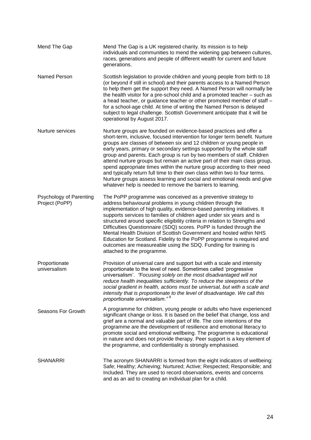individuals and communities to mend the widening gap between cultures, races, generations and people of different wealth for current and future generations. Named Person Nurture services Psychology of Parenting Project (PoPP) Scottish legislation to provide children and young people from birth to 18 (or beyond if still in school) and their parents access to a Named Person to help them get the support they need. A Named Person will normally be the health visitor for a pre-school child and a promoted teacher – such as a head teacher, or guidance teacher or other promoted member of staff – for a school-age child. At time of writing the Named Person is delayed subject to legal challenge. Scottish Government anticipate that it will be operational by August 2017. Nurture groups are founded on evidence-based practices and offer a short-term, inclusive, focused intervention for longer term benefit. Nurture groups are classes of between six and 12 children or young people in early years, primary or secondary settings supported by the whole staff group and parents. Each group is run by two members of staff. Children attend nurture groups but remain an active part of their main class group, spend appropriate times within the nurture group according to their need and typically return full time to their own class within two to four terms. Nurture groups assess learning and social and emotional needs and give whatever help is needed to remove the barriers to learning. The PoPP programme was conceived as a preventive strategy to address behavioural problems in young children through the implementation of high quality, evidence-based parenting initiatives. It supports services to families of children aged under six years and is structured around specific eligibility criteria in relation to Strengths and Difficulties Questionnaire (SDQ) scores. PoPP is funded through the Mental Health Division of Scottish Government and hosted within NHS Education for Scotland. Fidelity to the PoPP programme is required and outcomes are measureable using the SDQ. Funding for training is attached to the programme. Proportionate universalism Seasons For Growth Provision of universal care and support but with a scale and intensity proportionate to the level of need. Sometimes called 'progressive universalism'. *"Focusing solely on the most disadvantaged will not reduce health inequalities sufficiently. To reduce the steepness of the social gradient in health, actions must be universal, but with a scale and intensity that is proportionate to the level of disadvantage. We call this proportionate universalism."* <sup>8</sup> A programme for children, young people or adults who have experienced significant change or loss. It is based on the belief that change, loss and grief are a normal and valuable part of life. The core intentions of the programme are the development of resilience and emotional literacy to promote social and emotional wellbeing. The programme is educational in nature and does not provide therapy. Peer support is a key element of the programme, and confidentiality is strongly emphasised. SHANARRI The acronym SHANARRI is formed from the eight indicators of wellbeing: Safe; Healthy; Achieving; Nurtured; Active; Respected; Responsible; and Included. They are used to record observations, events and concerns and as an aid to creating an individual plan for a child.

Mend The Gap Mend The Gap is a UK registered charity. Its mission is to help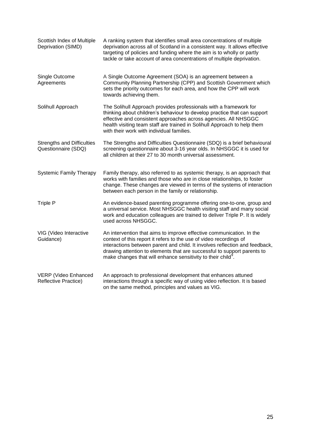| Scottish Index of Multiple<br>Deprivation (SIMD)         | A ranking system that identifies small area concentrations of multiple<br>deprivation across all of Scotland in a consistent way. It allows effective<br>targeting of policies and funding where the aim is to wholly or partly<br>tackle or take account of area concentrations of multiple deprivation.                                                                        |
|----------------------------------------------------------|----------------------------------------------------------------------------------------------------------------------------------------------------------------------------------------------------------------------------------------------------------------------------------------------------------------------------------------------------------------------------------|
| Single Outcome<br>Agreements                             | A Single Outcome Agreement (SOA) is an agreement between a<br>Community Planning Partnership (CPP) and Scottish Government which<br>sets the priority outcomes for each area, and how the CPP will work<br>towards achieving them.                                                                                                                                               |
| Solihull Approach                                        | The Solihull Approach provides professionals with a framework for<br>thinking about children's behaviour to develop practice that can support<br>effective and consistent approaches across agencies. All NHSGGC<br>health visiting team staff are trained in Solihull Approach to help them<br>with their work with individual families.                                        |
| <b>Strengths and Difficulties</b><br>Questionnaire (SDQ) | The Strengths and Difficulties Questionnaire (SDQ) is a brief behavioural<br>screening questionnaire about 3-16 year olds. In NHSGGC it is used for<br>all children at their 27 to 30 month universal assessment.                                                                                                                                                                |
| <b>Systemic Family Therapy</b>                           | Family therapy, also referred to as systemic therapy, is an approach that<br>works with families and those who are in close relationships, to foster<br>change. These changes are viewed in terms of the systems of interaction<br>between each person in the family or relationship.                                                                                            |
| <b>Triple P</b>                                          | An evidence-based parenting programme offering one-to-one, group and<br>a universal service. Most NHSGGC health visiting staff and many social<br>work and education colleagues are trained to deliver Triple P. It is widely<br>used across NHSGGC.                                                                                                                             |
| VIG (Video Interactive<br>Guidance)                      | An intervention that aims to improve effective communication. In the<br>context of this report it refers to the use of video recordings of<br>interactions between parent and child. It involves reflection and feedback,<br>drawing attention to elements that are successful to support parents to<br>make changes that will enhance sensitivity to their child <sup>9</sup> . |
| VERP (Video Enhanced<br><b>Reflective Practice)</b>      | An approach to professional development that enhances attuned<br>interactions through a specific way of using video reflection. It is based<br>on the same method, principles and values as VIG.                                                                                                                                                                                 |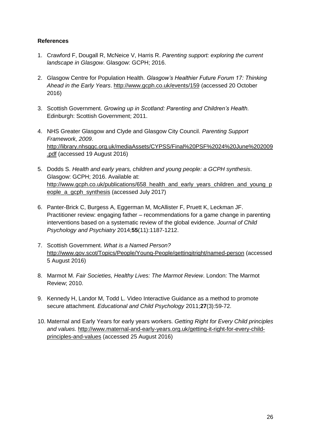#### **References**

- 1. Crawford F, Dougall R, McNeice V, Harris R. *Parenting support: exploring the current landscape in Glasgow*. Glasgow: GCPH; 2016.
- 2. Glasgow Centre for Population Health. *Glasgow's Healthier Future Forum 17: Thinking Ahead in the Early Years*.<http://www.gcph.co.uk/events/159> (accessed 20 October 2016)
- 3. Scottish Government. *Growing up in Scotland: Parenting and Children's Health.* Edinburgh: Scottish Government; 2011.
- 4. NHS Greater Glasgow and Clyde and Glasgow City Council. *Parenting Support Framework, 2009*. [http://library.nhsggc.org.uk/mediaAssets/CYPSS/Final%20PSF%2024%20June%202009](http://library.nhsggc.org.uk/mediaAssets/CYPSS/Final%20PSF%2024%20June%202009.pdf) [.pdf](http://library.nhsggc.org.uk/mediaAssets/CYPSS/Final%20PSF%2024%20June%202009.pdf) (accessed 19 August 2016)
- 5. Dodds S. *Health and early years, children and young people: a GCPH synthesis*. Glasgow: GCPH; 2016. Available at: [http://www.gcph.co.uk/publications/658\\_health\\_and\\_early\\_years\\_children\\_and\\_young\\_p](http://www.gcph.co.uk/publications/658_health_and_early_years_children_and_young_people_a_gcph_synthesis) [eople\\_a\\_gcph\\_synthesis](http://www.gcph.co.uk/publications/658_health_and_early_years_children_and_young_people_a_gcph_synthesis) (accessed July 2017)
- 6. Panter-Brick C, Burgess A, Eggerman M, McAllister F, Pruett K, Leckman JF. Practitioner review: engaging father – recommendations for a game change in parenting interventions based on a systematic review of the global evidence. *Journal of Child Psychology and Psychiatry* 2014;**55**(11):1187-1212.
- 7. Scottish Government. *What is a Named Person?* <http://www.gov.scot/Topics/People/Young-People/gettingitright/named-person> (accessed 5 August 2016)
- 8. Marmot M. *Fair Societies, Healthy Lives: The Marmot Review*. London: The Marmot Review; 2010.
- 9. Kennedy H, Landor M, Todd L. Video Interactive Guidance as a method to promote secure attachment*. Educational and Child Psychology* 2011;**27**(3):59-72.
- 10. Maternal and Early Years for early years workers. *Getting Right for Every Child principles and values.* [http://www.maternal-and-early-years.org.uk/getting-it-right-for-every-child](http://www.maternal-and-early-years.org.uk/getting-it-right-for-every-child-principles-and-values)[principles-and-values](http://www.maternal-and-early-years.org.uk/getting-it-right-for-every-child-principles-and-values) (accessed 25 August 2016)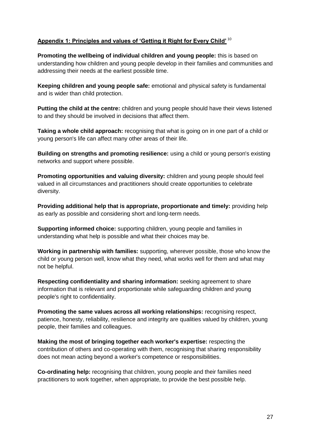#### **Appendix 1: Principles and values of 'Getting it Right for Every Child'** <sup>10</sup>

**Promoting the wellbeing of individual children and young people:** this is based on understanding how children and young people develop in their families and communities and addressing their needs at the earliest possible time.

**Keeping children and young people safe:** emotional and physical safety is fundamental and is wider than child protection.

**Putting the child at the centre:** children and young people should have their views listened to and they should be involved in decisions that affect them.

**Taking a whole child approach:** recognising that what is going on in one part of a child or young person's life can affect many other areas of their life.

**Building on strengths and promoting resilience:** using a child or young person's existing networks and support where possible.

**Promoting opportunities and valuing diversity:** children and young people should feel valued in all circumstances and practitioners should create opportunities to celebrate diversity.

**Providing additional help that is appropriate, proportionate and timely:** providing help as early as possible and considering short and long-term needs.

**Supporting informed choice:** supporting children, young people and families in understanding what help is possible and what their choices may be.

**Working in partnership with families:** supporting, wherever possible, those who know the child or young person well, know what they need, what works well for them and what may not be helpful.

**Respecting confidentiality and sharing information:** seeking agreement to share information that is relevant and proportionate while safeguarding children and young people's right to confidentiality.

**Promoting the same values across all working relationships:** recognising respect, patience, honesty, reliability, resilience and integrity are qualities valued by children, young people, their families and colleagues.

**Making the most of bringing together each worker's expertise:** respecting the contribution of others and co-operating with them, recognising that sharing responsibility does not mean acting beyond a worker's competence or responsibilities.

**Co-ordinating help:** recognising that children, young people and their families need practitioners to work together, when appropriate, to provide the best possible help.